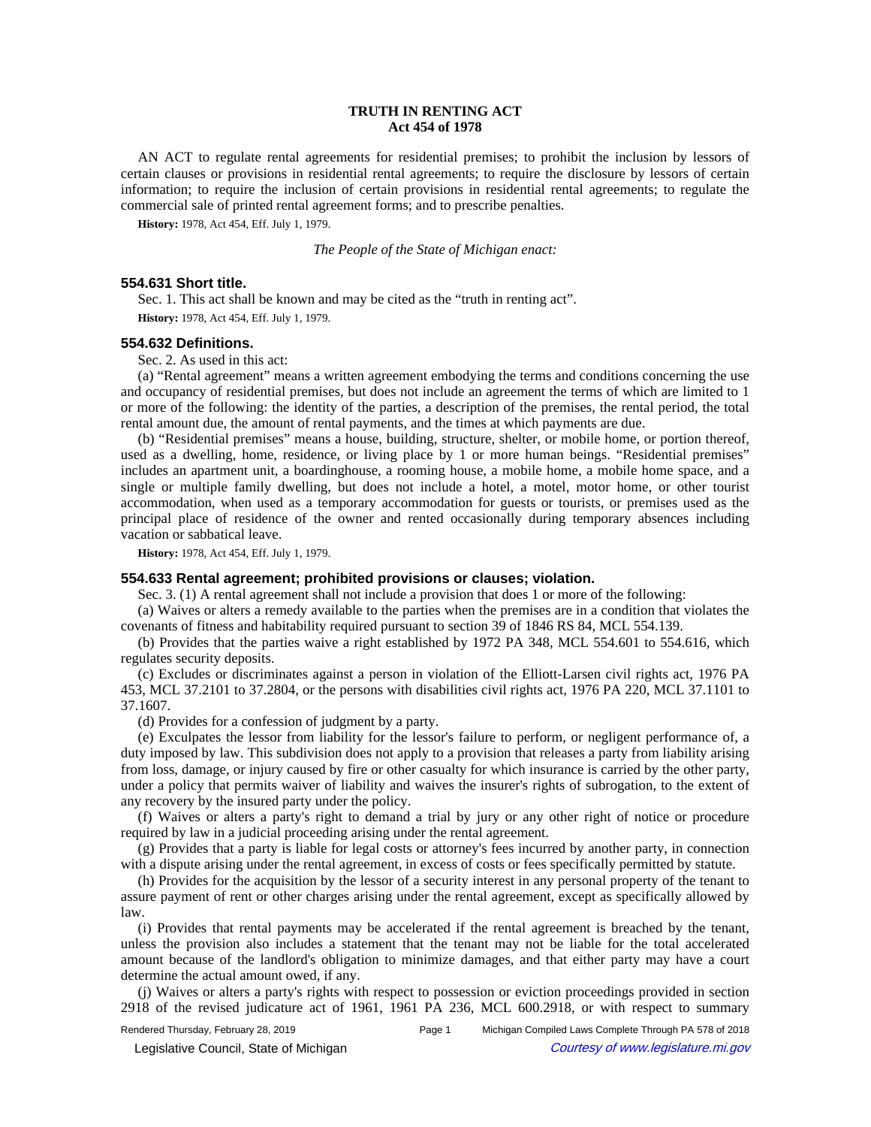# **TRUTH IN RENTING ACT Act 454 of 1978**

AN ACT to regulate rental agreements for residential premises; to prohibit the inclusion by lessors of certain clauses or provisions in residential rental agreements; to require the disclosure by lessors of certain information; to require the inclusion of certain provisions in residential rental agreements; to regulate the commercial sale of printed rental agreement forms; and to prescribe penalties.

**History:** 1978, Act 454, Eff. July 1, 1979.

*The People of the State of Michigan enact:*

## **554.631 Short title.**

Sec. 1. This act shall be known and may be cited as the "truth in renting act".

**History:** 1978, Act 454, Eff. July 1, 1979.

## **554.632 Definitions.**

Sec. 2. As used in this act:

(a) "Rental agreement" means a written agreement embodying the terms and conditions concerning the use and occupancy of residential premises, but does not include an agreement the terms of which are limited to 1 or more of the following: the identity of the parties, a description of the premises, the rental period, the total rental amount due, the amount of rental payments, and the times at which payments are due.

(b) "Residential premises" means a house, building, structure, shelter, or mobile home, or portion thereof, used as a dwelling, home, residence, or living place by 1 or more human beings. "Residential premises" includes an apartment unit, a boardinghouse, a rooming house, a mobile home, a mobile home space, and a single or multiple family dwelling, but does not include a hotel, a motel, motor home, or other tourist accommodation, when used as a temporary accommodation for guests or tourists, or premises used as the principal place of residence of the owner and rented occasionally during temporary absences including vacation or sabbatical leave.

**History:** 1978, Act 454, Eff. July 1, 1979.

# **554.633 Rental agreement; prohibited provisions or clauses; violation.**

Sec. 3. (1) A rental agreement shall not include a provision that does 1 or more of the following:

(a) Waives or alters a remedy available to the parties when the premises are in a condition that violates the covenants of fitness and habitability required pursuant to section 39 of 1846 RS 84, MCL 554.139.

(b) Provides that the parties waive a right established by 1972 PA 348, MCL 554.601 to 554.616, which regulates security deposits.

(c) Excludes or discriminates against a person in violation of the Elliott-Larsen civil rights act, 1976 PA 453, MCL 37.2101 to 37.2804, or the persons with disabilities civil rights act, 1976 PA 220, MCL 37.1101 to 37.1607.

(d) Provides for a confession of judgment by a party.

(e) Exculpates the lessor from liability for the lessor's failure to perform, or negligent performance of, a duty imposed by law. This subdivision does not apply to a provision that releases a party from liability arising from loss, damage, or injury caused by fire or other casualty for which insurance is carried by the other party, under a policy that permits waiver of liability and waives the insurer's rights of subrogation, to the extent of any recovery by the insured party under the policy.

(f) Waives or alters a party's right to demand a trial by jury or any other right of notice or procedure required by law in a judicial proceeding arising under the rental agreement.

(g) Provides that a party is liable for legal costs or attorney's fees incurred by another party, in connection with a dispute arising under the rental agreement, in excess of costs or fees specifically permitted by statute.

(h) Provides for the acquisition by the lessor of a security interest in any personal property of the tenant to assure payment of rent or other charges arising under the rental agreement, except as specifically allowed by law.

(i) Provides that rental payments may be accelerated if the rental agreement is breached by the tenant, unless the provision also includes a statement that the tenant may not be liable for the total accelerated amount because of the landlord's obligation to minimize damages, and that either party may have a court determine the actual amount owed, if any.

(j) Waives or alters a party's rights with respect to possession or eviction proceedings provided in section 2918 of the revised judicature act of 1961, 1961 PA 236, MCL 600.2918, or with respect to summary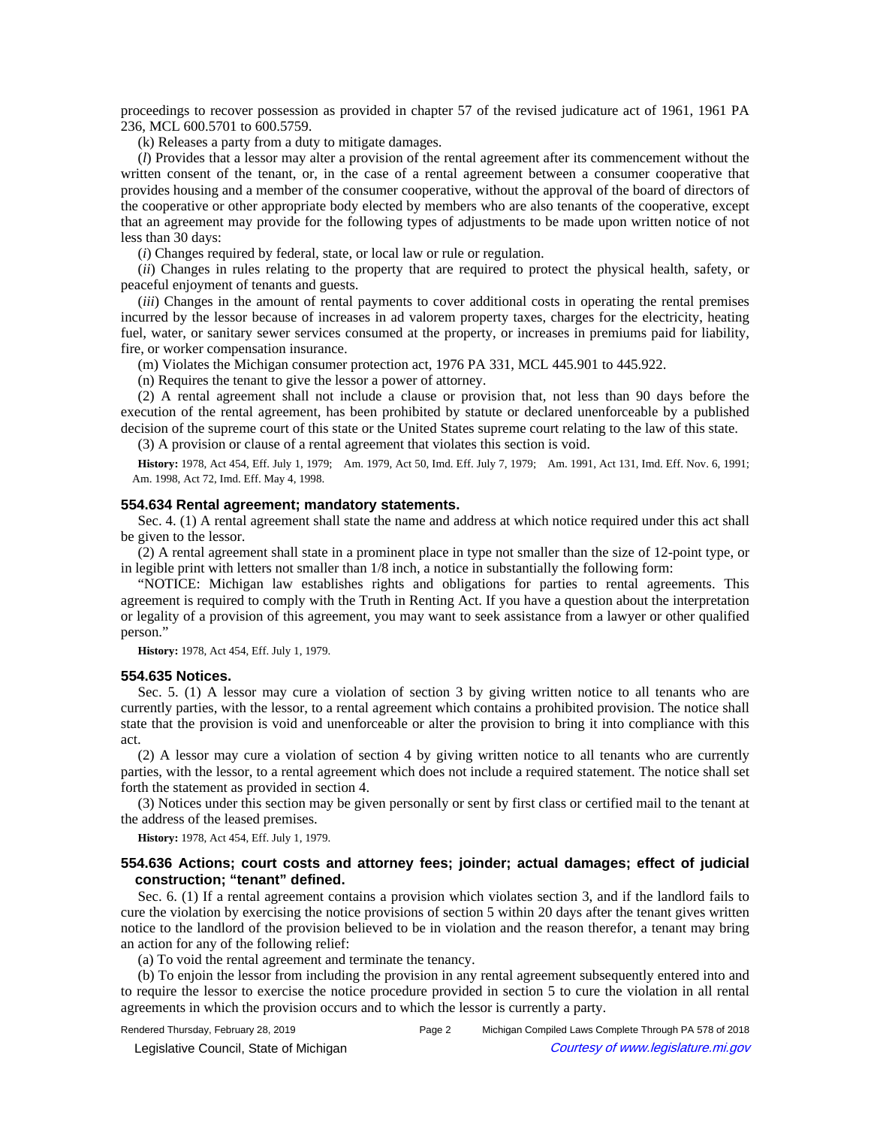proceedings to recover possession as provided in chapter 57 of the revised judicature act of 1961, 1961 PA 236, MCL 600.5701 to 600.5759.

(k) Releases a party from a duty to mitigate damages.

(*l*) Provides that a lessor may alter a provision of the rental agreement after its commencement without the written consent of the tenant, or, in the case of a rental agreement between a consumer cooperative that provides housing and a member of the consumer cooperative, without the approval of the board of directors of the cooperative or other appropriate body elected by members who are also tenants of the cooperative, except that an agreement may provide for the following types of adjustments to be made upon written notice of not less than 30 days:

(*i*) Changes required by federal, state, or local law or rule or regulation.

(*ii*) Changes in rules relating to the property that are required to protect the physical health, safety, or peaceful enjoyment of tenants and guests.

(*iii*) Changes in the amount of rental payments to cover additional costs in operating the rental premises incurred by the lessor because of increases in ad valorem property taxes, charges for the electricity, heating fuel, water, or sanitary sewer services consumed at the property, or increases in premiums paid for liability, fire, or worker compensation insurance.

(m) Violates the Michigan consumer protection act, 1976 PA 331, MCL 445.901 to 445.922.

(n) Requires the tenant to give the lessor a power of attorney.

(2) A rental agreement shall not include a clause or provision that, not less than 90 days before the execution of the rental agreement, has been prohibited by statute or declared unenforceable by a published decision of the supreme court of this state or the United States supreme court relating to the law of this state.

(3) A provision or clause of a rental agreement that violates this section is void.

History: 1978, Act 454, Eff. July 1, 1979;--Am. 1979, Act 50, Imd. Eff. July 7, 1979;--Am. 1991, Act 131, Imd. Eff. Nov. 6, 1991; Am. 1998, Act 72, Imd. Eff. May 4, 1998.

#### **554.634 Rental agreement; mandatory statements.**

Sec. 4. (1) A rental agreement shall state the name and address at which notice required under this act shall be given to the lessor.

(2) A rental agreement shall state in a prominent place in type not smaller than the size of 12-point type, or in legible print with letters not smaller than 1/8 inch, a notice in substantially the following form:

"NOTICE: Michigan law establishes rights and obligations for parties to rental agreements. This agreement is required to comply with the Truth in Renting Act. If you have a question about the interpretation or legality of a provision of this agreement, you may want to seek assistance from a lawyer or other qualified person."

**History:** 1978, Act 454, Eff. July 1, 1979.

#### **554.635 Notices.**

Sec. 5. (1) A lessor may cure a violation of section 3 by giving written notice to all tenants who are currently parties, with the lessor, to a rental agreement which contains a prohibited provision. The notice shall state that the provision is void and unenforceable or alter the provision to bring it into compliance with this act.

(2) A lessor may cure a violation of section 4 by giving written notice to all tenants who are currently parties, with the lessor, to a rental agreement which does not include a required statement. The notice shall set forth the statement as provided in section 4.

(3) Notices under this section may be given personally or sent by first class or certified mail to the tenant at the address of the leased premises.

**History:** 1978, Act 454, Eff. July 1, 1979.

## **554.636 Actions; court costs and attorney fees; joinder; actual damages; effect of judicial construction; "tenant" defined.**

Sec. 6. (1) If a rental agreement contains a provision which violates section 3, and if the landlord fails to cure the violation by exercising the notice provisions of section 5 within 20 days after the tenant gives written notice to the landlord of the provision believed to be in violation and the reason therefor, a tenant may bring an action for any of the following relief:

(a) To void the rental agreement and terminate the tenancy.

(b) To enjoin the lessor from including the provision in any rental agreement subsequently entered into and to require the lessor to exercise the notice procedure provided in section 5 to cure the violation in all rental agreements in which the provision occurs and to which the lessor is currently a party.

Rendered Thursday, February 28, 2019 Page 2 Michigan Compiled Laws Complete Through PA 578 of 2018

© Legislative Council, State of Michigan Council Courtesy of www.legislature.mi.gov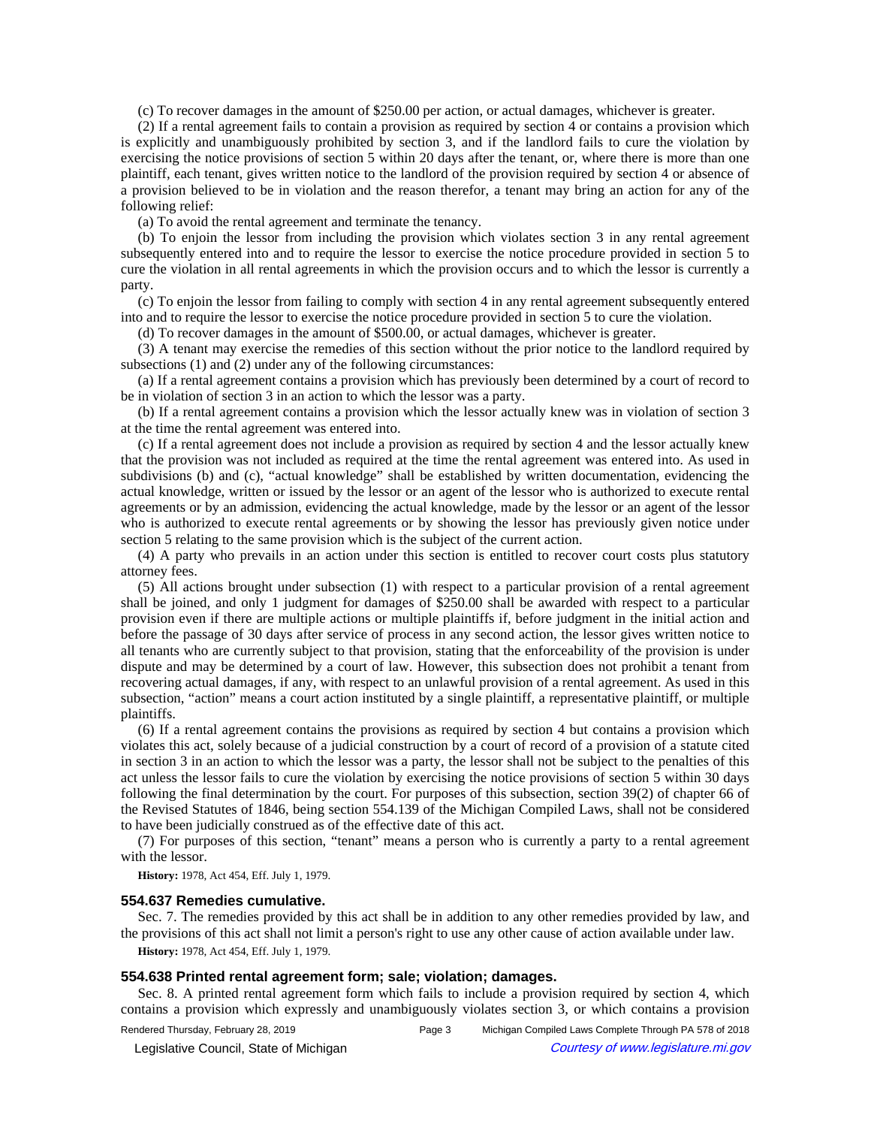(c) To recover damages in the amount of \$250.00 per action, or actual damages, whichever is greater.

(2) If a rental agreement fails to contain a provision as required by section 4 or contains a provision which is explicitly and unambiguously prohibited by section 3, and if the landlord fails to cure the violation by exercising the notice provisions of section 5 within 20 days after the tenant, or, where there is more than one plaintiff, each tenant, gives written notice to the landlord of the provision required by section 4 or absence of a provision believed to be in violation and the reason therefor, a tenant may bring an action for any of the following relief:

(a) To avoid the rental agreement and terminate the tenancy.

(b) To enjoin the lessor from including the provision which violates section 3 in any rental agreement subsequently entered into and to require the lessor to exercise the notice procedure provided in section 5 to cure the violation in all rental agreements in which the provision occurs and to which the lessor is currently a party.

(c) To enjoin the lessor from failing to comply with section 4 in any rental agreement subsequently entered into and to require the lessor to exercise the notice procedure provided in section 5 to cure the violation.

(d) To recover damages in the amount of \$500.00, or actual damages, whichever is greater.

(3) A tenant may exercise the remedies of this section without the prior notice to the landlord required by subsections (1) and (2) under any of the following circumstances:

(a) If a rental agreement contains a provision which has previously been determined by a court of record to be in violation of section 3 in an action to which the lessor was a party.

(b) If a rental agreement contains a provision which the lessor actually knew was in violation of section 3 at the time the rental agreement was entered into.

(c) If a rental agreement does not include a provision as required by section 4 and the lessor actually knew that the provision was not included as required at the time the rental agreement was entered into. As used in subdivisions (b) and (c), "actual knowledge" shall be established by written documentation, evidencing the actual knowledge, written or issued by the lessor or an agent of the lessor who is authorized to execute rental agreements or by an admission, evidencing the actual knowledge, made by the lessor or an agent of the lessor who is authorized to execute rental agreements or by showing the lessor has previously given notice under section 5 relating to the same provision which is the subject of the current action.

(4) A party who prevails in an action under this section is entitled to recover court costs plus statutory attorney fees.

(5) All actions brought under subsection (1) with respect to a particular provision of a rental agreement shall be joined, and only 1 judgment for damages of \$250.00 shall be awarded with respect to a particular provision even if there are multiple actions or multiple plaintiffs if, before judgment in the initial action and before the passage of 30 days after service of process in any second action, the lessor gives written notice to all tenants who are currently subject to that provision, stating that the enforceability of the provision is under dispute and may be determined by a court of law. However, this subsection does not prohibit a tenant from recovering actual damages, if any, with respect to an unlawful provision of a rental agreement. As used in this subsection, "action" means a court action instituted by a single plaintiff, a representative plaintiff, or multiple plaintiffs.

(6) If a rental agreement contains the provisions as required by section 4 but contains a provision which violates this act, solely because of a judicial construction by a court of record of a provision of a statute cited in section 3 in an action to which the lessor was a party, the lessor shall not be subject to the penalties of this act unless the lessor fails to cure the violation by exercising the notice provisions of section 5 within 30 days following the final determination by the court. For purposes of this subsection, section 39(2) of chapter 66 of the Revised Statutes of 1846, being section 554.139 of the Michigan Compiled Laws, shall not be considered to have been judicially construed as of the effective date of this act.

(7) For purposes of this section, "tenant" means a person who is currently a party to a rental agreement with the lessor.

**History:** 1978, Act 454, Eff. July 1, 1979.

#### **554.637 Remedies cumulative.**

Sec. 7. The remedies provided by this act shall be in addition to any other remedies provided by law, and the provisions of this act shall not limit a person's right to use any other cause of action available under law. **History:** 1978, Act 454, Eff. July 1, 1979.

## **554.638 Printed rental agreement form; sale; violation; damages.**

Sec. 8. A printed rental agreement form which fails to include a provision required by section 4, which contains a provision which expressly and unambiguously violates section 3, or which contains a provision